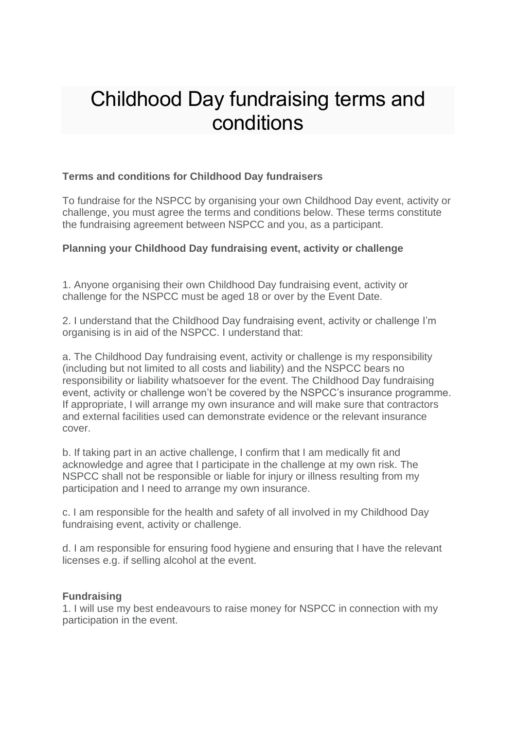# Childhood Day fundraising terms and conditions

## **Terms and conditions for Childhood Day fundraisers**

To fundraise for the NSPCC by organising your own Childhood Day event, activity or challenge, you must agree the terms and conditions below. These terms constitute the fundraising agreement between NSPCC and you, as a participant.

## **Planning your Childhood Day fundraising event, activity or challenge**

1. Anyone organising their own Childhood Day fundraising event, activity or challenge for the NSPCC must be aged 18 or over by the Event Date.

2. I understand that the Childhood Day fundraising event, activity or challenge I'm organising is in aid of the NSPCC. I understand that:

a. The Childhood Day fundraising event, activity or challenge is my responsibility (including but not limited to all costs and liability) and the NSPCC bears no responsibility or liability whatsoever for the event. The Childhood Day fundraising event, activity or challenge won't be covered by the NSPCC's insurance programme. If appropriate, I will arrange my own insurance and will make sure that contractors and external facilities used can demonstrate evidence or the relevant insurance cover.

b. If taking part in an active challenge, I confirm that I am medically fit and acknowledge and agree that I participate in the challenge at my own risk. The NSPCC shall not be responsible or liable for injury or illness resulting from my participation and I need to arrange my own insurance.

c. I am responsible for the health and safety of all involved in my Childhood Day fundraising event, activity or challenge.

d. I am responsible for ensuring food hygiene and ensuring that I have the relevant licenses e.g. if selling alcohol at the event.

#### **Fundraising**

1. I will use my best endeavours to raise money for NSPCC in connection with my participation in the event.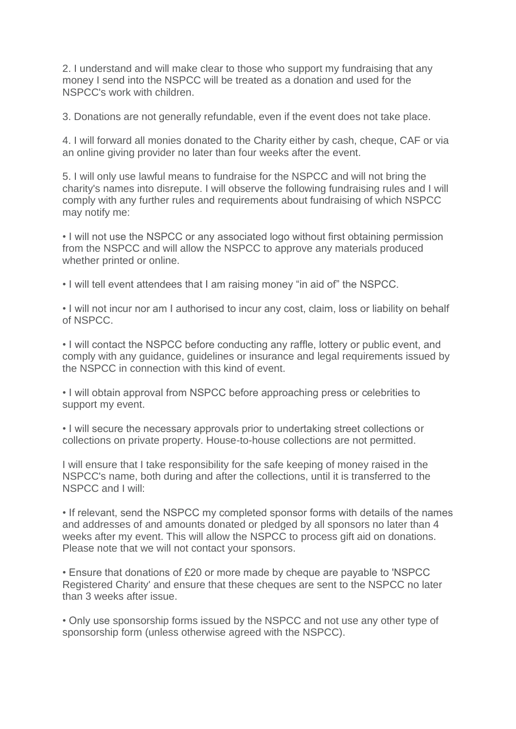2. I understand and will make clear to those who support my fundraising that any money I send into the NSPCC will be treated as a donation and used for the NSPCC's work with children.

3. Donations are not generally refundable, even if the event does not take place.

4. I will forward all monies donated to the Charity either by cash, cheque, CAF or via an online giving provider no later than four weeks after the event.

5. I will only use lawful means to fundraise for the NSPCC and will not bring the charity's names into disrepute. I will observe the following fundraising rules and I will comply with any further rules and requirements about fundraising of which NSPCC may notify me:

• I will not use the NSPCC or any associated logo without first obtaining permission from the NSPCC and will allow the NSPCC to approve any materials produced whether printed or online.

• I will tell event attendees that I am raising money "in aid of" the NSPCC.

• I will not incur nor am I authorised to incur any cost, claim, loss or liability on behalf of NSPCC.

• I will contact the NSPCC before conducting any raffle, lottery or public event, and comply with any guidance, guidelines or insurance and legal requirements issued by the NSPCC in connection with this kind of event.

• I will obtain approval from NSPCC before approaching press or celebrities to support my event.

• I will secure the necessary approvals prior to undertaking street collections or collections on private property. House-to-house collections are not permitted.

I will ensure that I take responsibility for the safe keeping of money raised in the NSPCC's name, both during and after the collections, until it is transferred to the NSPCC and I will:

• If relevant, send the NSPCC my completed sponsor forms with details of the names and addresses of and amounts donated or pledged by all sponsors no later than 4 weeks after my event. This will allow the NSPCC to process gift aid on donations. Please note that we will not contact your sponsors.

• Ensure that donations of £20 or more made by cheque are payable to 'NSPCC Registered Charity' and ensure that these cheques are sent to the NSPCC no later than 3 weeks after issue.

• Only use sponsorship forms issued by the NSPCC and not use any other type of sponsorship form (unless otherwise agreed with the NSPCC).